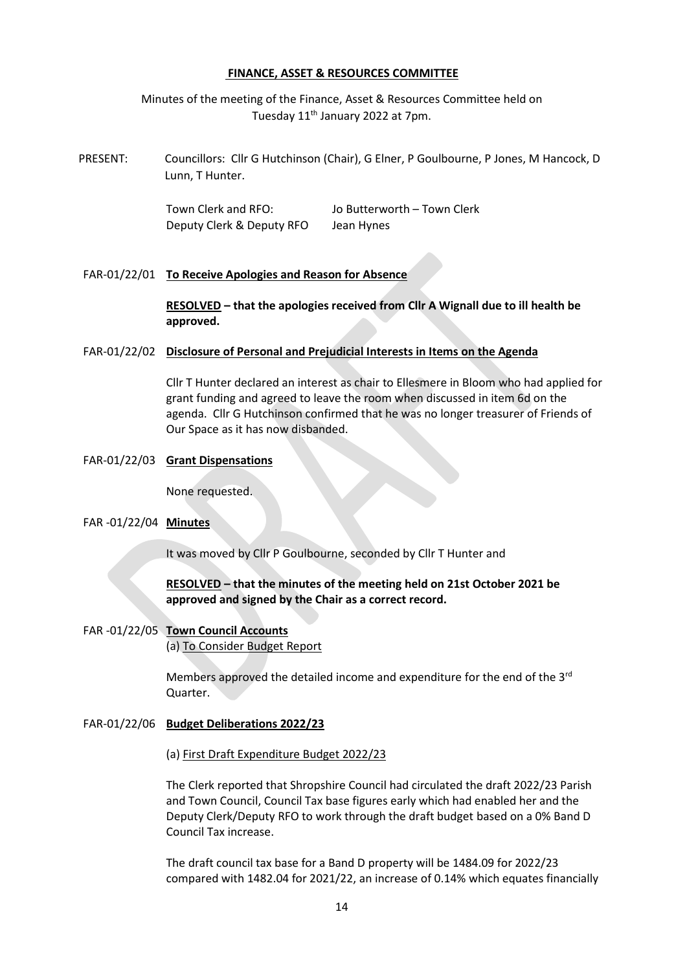#### **FINANCE, ASSET & RESOURCES COMMITTEE**

Minutes of the meeting of the Finance, Asset & Resources Committee held on Tuesday 11<sup>th</sup> January 2022 at 7pm.

PRESENT: Councillors: Cllr G Hutchinson (Chair), G Elner, P Goulbourne, P Jones, M Hancock, D Lunn, T Hunter.

> Town Clerk and RFO: Jo Butterworth – Town Clerk Deputy Clerk & Deputy RFO Jean Hynes

FAR-01/22/01 **To Receive Apologies and Reason for Absence**

**RESOLVED – that the apologies received from Cllr A Wignall due to ill health be approved.**

#### FAR-01/22/02 **Disclosure of Personal and Prejudicial Interests in Items on the Agenda**

Cllr T Hunter declared an interest as chair to Ellesmere in Bloom who had applied for grant funding and agreed to leave the room when discussed in item 6d on the agenda. Cllr G Hutchinson confirmed that he was no longer treasurer of Friends of Our Space as it has now disbanded.

#### FAR-01/22/03 **Grant Dispensations**

None requested.

## FAR -01/22/04 **Minutes**

It was moved by Cllr P Goulbourne, seconded by Cllr T Hunter and

## **RESOLVED – that the minutes of the meeting held on 21st October 2021 be approved and signed by the Chair as a correct record.**

FAR -01/22/05 **Town Council Accounts** (a) To Consider Budget Report

> Members approved the detailed income and expenditure for the end of the 3<sup>rd</sup> Quarter.

FAR-01/22/06 **Budget Deliberations 2022/23**

(a) First Draft Expenditure Budget 2022/23

The Clerk reported that Shropshire Council had circulated the draft 2022/23 Parish and Town Council, Council Tax base figures early which had enabled her and the Deputy Clerk/Deputy RFO to work through the draft budget based on a 0% Band D Council Tax increase.

The draft council tax base for a Band D property will be 1484.09 for 2022/23 compared with 1482.04 for 2021/22, an increase of 0.14% which equates financially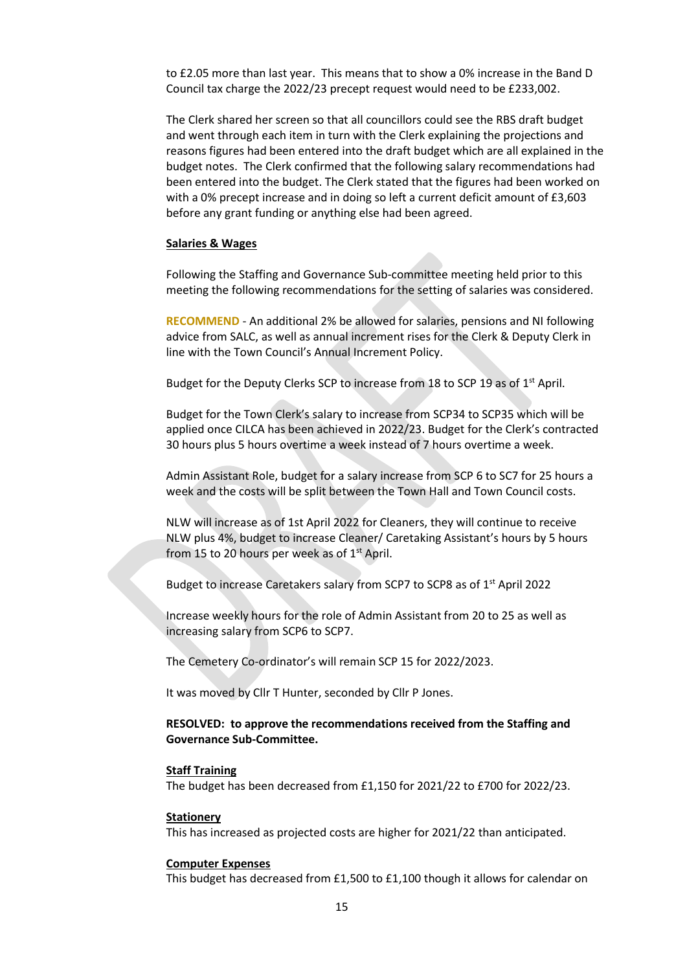to £2.05 more than last year. This means that to show a 0% increase in the Band D Council tax charge the 2022/23 precept request would need to be £233,002.

The Clerk shared her screen so that all councillors could see the RBS draft budget and went through each item in turn with the Clerk explaining the projections and reasons figures had been entered into the draft budget which are all explained in the budget notes. The Clerk confirmed that the following salary recommendations had been entered into the budget. The Clerk stated that the figures had been worked on with a 0% precept increase and in doing so left a current deficit amount of £3,603 before any grant funding or anything else had been agreed.

#### **Salaries & Wages**

Following the Staffing and Governance Sub-committee meeting held prior to this meeting the following recommendations for the setting of salaries was considered.

**RECOMMEND** - An additional 2% be allowed for salaries, pensions and NI following advice from SALC, as well as annual increment rises for the Clerk & Deputy Clerk in line with the Town Council's Annual Increment Policy.

Budget for the Deputy Clerks SCP to increase from 18 to SCP 19 as of 1<sup>st</sup> April.

Budget for the Town Clerk's salary to increase from SCP34 to SCP35 which will be applied once CILCA has been achieved in 2022/23. Budget for the Clerk's contracted 30 hours plus 5 hours overtime a week instead of 7 hours overtime a week.

Admin Assistant Role, budget for a salary increase from SCP 6 to SC7 for 25 hours a week and the costs will be split between the Town Hall and Town Council costs.

NLW will increase as of 1st April 2022 for Cleaners, they will continue to receive NLW plus 4%, budget to increase Cleaner/ Caretaking Assistant's hours by 5 hours from 15 to 20 hours per week as of  $1<sup>st</sup>$  April.

Budget to increase Caretakers salary from SCP7 to SCP8 as of 1<sup>st</sup> April 2022

Increase weekly hours for the role of Admin Assistant from 20 to 25 as well as increasing salary from SCP6 to SCP7.

The Cemetery Co-ordinator's will remain SCP 15 for 2022/2023.

It was moved by Cllr T Hunter, seconded by Cllr P Jones.

### **RESOLVED: to approve the recommendations received from the Staffing and Governance Sub-Committee.**

#### **Staff Training**

The budget has been decreased from £1,150 for 2021/22 to £700 for 2022/23.

#### **Stationery**

This has increased as projected costs are higher for 2021/22 than anticipated.

#### **Computer Expenses**

This budget has decreased from £1,500 to £1,100 though it allows for calendar on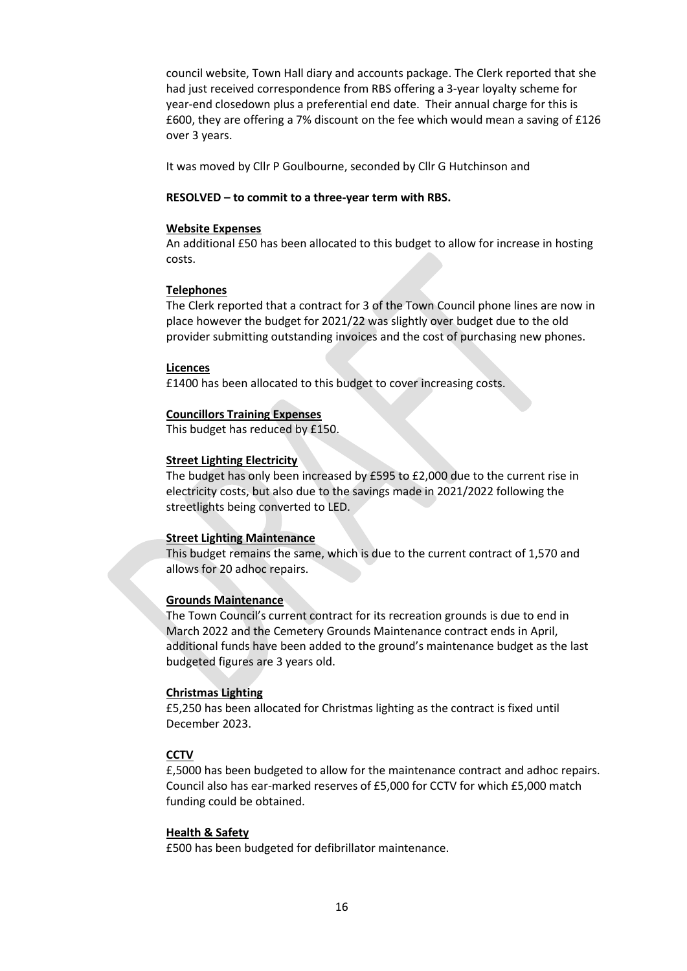council website, Town Hall diary and accounts package. The Clerk reported that she had just received correspondence from RBS offering a 3-year loyalty scheme for year-end closedown plus a preferential end date. Their annual charge for this is £600, they are offering a 7% discount on the fee which would mean a saving of £126 over 3 years.

It was moved by Cllr P Goulbourne, seconded by Cllr G Hutchinson and

### **RESOLVED – to commit to a three-year term with RBS.**

#### **Website Expenses**

An additional £50 has been allocated to this budget to allow for increase in hosting costs.

## **Telephones**

The Clerk reported that a contract for 3 of the Town Council phone lines are now in place however the budget for 2021/22 was slightly over budget due to the old provider submitting outstanding invoices and the cost of purchasing new phones.

#### **Licences**

£1400 has been allocated to this budget to cover increasing costs.

#### **Councillors Training Expenses**

This budget has reduced by £150.

## **Street Lighting Electricity**

The budget has only been increased by £595 to £2,000 due to the current rise in electricity costs, but also due to the savings made in 2021/2022 following the streetlights being converted to LED.

## **Street Lighting Maintenance**

This budget remains the same, which is due to the current contract of 1,570 and allows for 20 adhoc repairs.

## **Grounds Maintenance**

The Town Council's current contract for its recreation grounds is due to end in March 2022 and the Cemetery Grounds Maintenance contract ends in April, additional funds have been added to the ground's maintenance budget as the last budgeted figures are 3 years old.

## **Christmas Lighting**

£5,250 has been allocated for Christmas lighting as the contract is fixed until December 2023.

## **CCTV**

£,5000 has been budgeted to allow for the maintenance contract and adhoc repairs. Council also has ear-marked reserves of £5,000 for CCTV for which £5,000 match funding could be obtained.

## **Health & Safety**

£500 has been budgeted for defibrillator maintenance.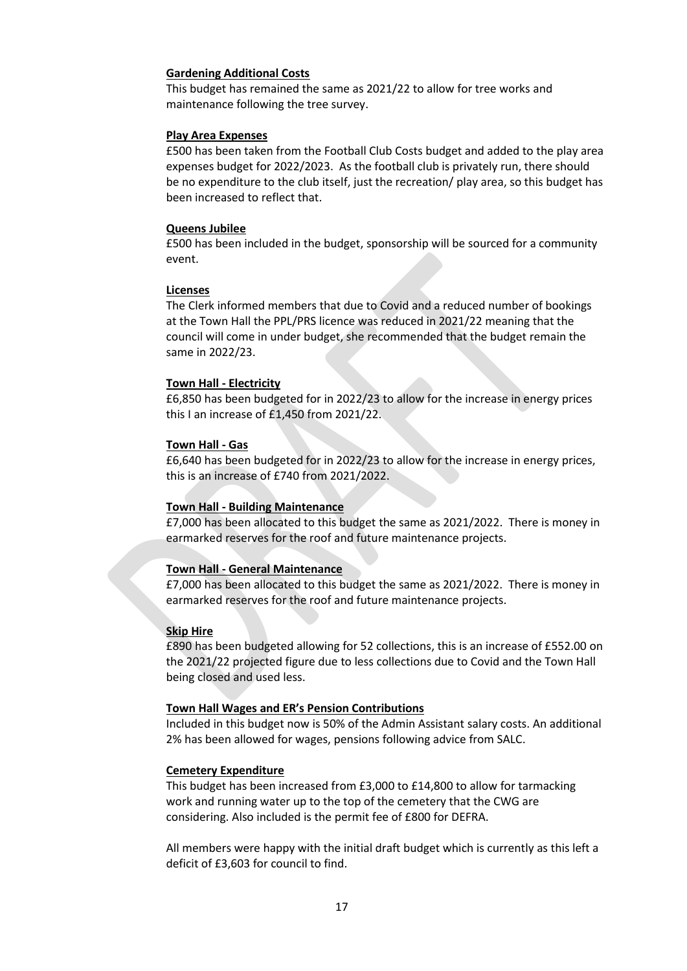### **Gardening Additional Costs**

This budget has remained the same as 2021/22 to allow for tree works and maintenance following the tree survey.

#### **Play Area Expenses**

£500 has been taken from the Football Club Costs budget and added to the play area expenses budget for 2022/2023. As the football club is privately run, there should be no expenditure to the club itself, just the recreation/ play area, so this budget has been increased to reflect that.

#### **Queens Jubilee**

£500 has been included in the budget, sponsorship will be sourced for a community event.

#### **Licenses**

The Clerk informed members that due to Covid and a reduced number of bookings at the Town Hall the PPL/PRS licence was reduced in 2021/22 meaning that the council will come in under budget, she recommended that the budget remain the same in 2022/23.

#### **Town Hall - Electricity**

£6,850 has been budgeted for in 2022/23 to allow for the increase in energy prices this I an increase of £1,450 from 2021/22.

#### **Town Hall - Gas**

£6,640 has been budgeted for in 2022/23 to allow for the increase in energy prices, this is an increase of £740 from 2021/2022.

## **Town Hall - Building Maintenance**

£7,000 has been allocated to this budget the same as 2021/2022. There is money in earmarked reserves for the roof and future maintenance projects.

## **Town Hall - General Maintenance**

£7,000 has been allocated to this budget the same as 2021/2022. There is money in earmarked reserves for the roof and future maintenance projects.

## **Skip Hire**

£890 has been budgeted allowing for 52 collections, this is an increase of £552.00 on the 2021/22 projected figure due to less collections due to Covid and the Town Hall being closed and used less.

## **Town Hall Wages and ER's Pension Contributions**

Included in this budget now is 50% of the Admin Assistant salary costs. An additional 2% has been allowed for wages, pensions following advice from SALC.

#### **Cemetery Expenditure**

This budget has been increased from £3,000 to £14,800 to allow for tarmacking work and running water up to the top of the cemetery that the CWG are considering. Also included is the permit fee of £800 for DEFRA.

All members were happy with the initial draft budget which is currently as this left a deficit of £3,603 for council to find.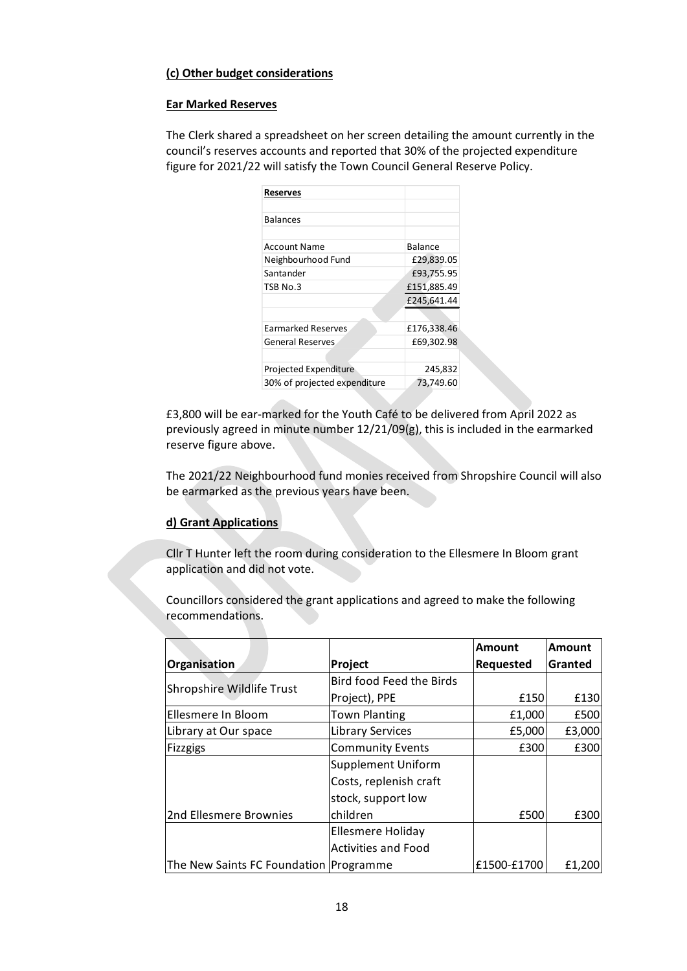# **(c) Other budget considerations**

## **Ear Marked Reserves**

The Clerk shared a spreadsheet on her screen detailing the amount currently in the council's reserves accounts and reported that 30% of the projected expenditure figure for 2021/22 will satisfy the Town Council General Reserve Policy.

| <b>Reserves</b>              |             |
|------------------------------|-------------|
|                              |             |
| <b>Balances</b>              |             |
|                              |             |
| <b>Account Name</b>          | Balance     |
| Neighbourhood Fund           | £29,839.05  |
| Santander                    | £93,755.95  |
| TSB No.3                     | £151,885.49 |
|                              | £245,641.44 |
|                              |             |
| <b>Earmarked Reserves</b>    | £176,338.46 |
| <b>General Reserves</b>      | £69,302.98  |
|                              |             |
| Projected Expenditure        | 245,832     |
| 30% of projected expenditure | 73,749.60   |

£3,800 will be ear-marked for the Youth Café to be delivered from April 2022 as previously agreed in minute number 12/21/09(g), this is included in the earmarked reserve figure above.

The 2021/22 Neighbourhood fund monies received from Shropshire Council will also be earmarked as the previous years have been.

# **d) Grant Applications**

Cllr T Hunter left the room during consideration to the Ellesmere In Bloom grant application and did not vote.

Councillors considered the grant applications and agreed to make the following recommendations.

|                                        |                            | <b>Amount</b> | <b>Amount</b> |
|----------------------------------------|----------------------------|---------------|---------------|
| Organisation                           | Project                    | Requested     | Granted       |
| Shropshire Wildlife Trust              | Bird food Feed the Birds   |               |               |
|                                        | Project), PPE              | £150          | £130          |
| Ellesmere In Bloom                     | <b>Town Planting</b>       | £1,000        | £500          |
| Library at Our space                   | <b>Library Services</b>    | £5,000        | £3,000        |
| Fizzgigs                               | <b>Community Events</b>    | £300          | £300          |
|                                        | <b>Supplement Uniform</b>  |               |               |
|                                        | Costs, replenish craft     |               |               |
|                                        | stock, support low         |               |               |
| 2nd Ellesmere Brownies                 | children                   | £500          | £300          |
|                                        | Ellesmere Holiday          |               |               |
|                                        | <b>Activities and Food</b> |               |               |
| The New Saints FC Foundation Programme |                            | £1500-£1700   | £1.200        |